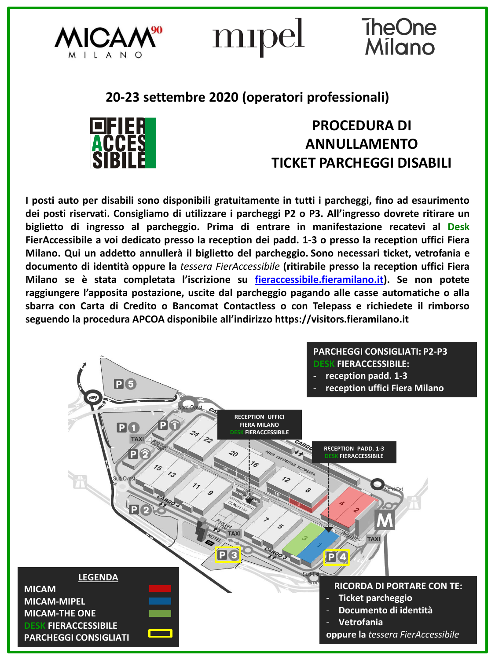

mipel

## TheOne<br>Milano

## **20-23 settembre 2020 (operatori professionali)**



**PROCEDURA DI ANNULLAMENTO TICKET PARCHEGGI DISABILI**

**I posti auto per disabili sono disponibili gratuitamente in tutti i parcheggi, fino ad esaurimento dei posti riservati. Consigliamo di utilizzare i parcheggi P2 o P3. All'ingresso dovrete ritirare un biglietto di ingresso al parcheggio. Prima di entrare in manifestazione recatevi al Desk FierAccessibile a voi dedicato presso la reception dei padd. 1-3 o presso la reception uffici Fiera Milano. Qui un addetto annullerà il biglietto del parcheggio. Sono necessari ticket, vetrofania e documento di identità oppure la** *tessera FierAccessibile* **(ritirabile presso la reception uffici Fiera Milano se è stata completata l'iscrizione su [fieraccessibile.fieramilano.it\)](fieraccessibile.fieramilano.it). Se non potete raggiungere l'apposita postazione, uscite dal parcheggio pagando alle casse automatiche o alla sbarra con Carta di Credito o Bancomat Contactless o con Telepass e richiedete il rimborso seguendo la procedura APCOA disponibile all'indirizzo https://visitors.fieramilano.it**